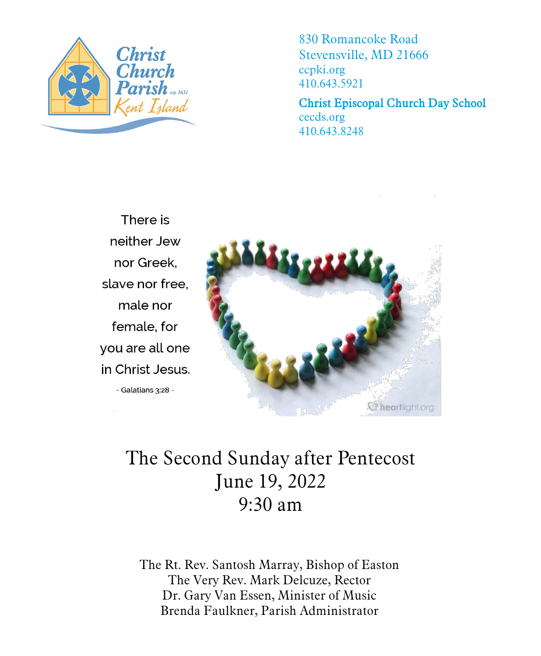

830 Romancoke Road Stevensville, MD 21666 ccpki.org 410.643.5921

Christ Episcopal Church Day School cecds.org 410.643.8248

There is neither Jew nor Greek. slave nor free. male nor female, for you are all one in Christ Jesus. - Galatians 3:28 -



# The Second Sunday after Pentecost June 19, 2022 9:30 am

The Rt. Rev. Santosh Marray, Bishop of Easton The Very Rev. Mark Delcuze, Rector Dr. Gary Van Essen, Minister of Music Brenda Faulkner, Parish Administrator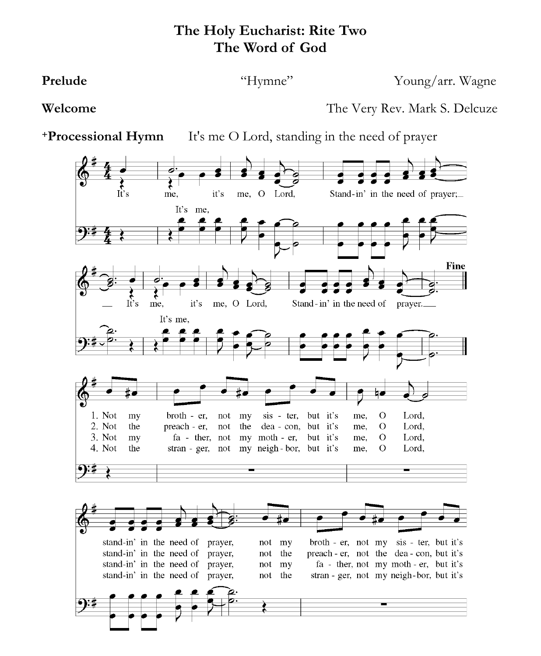# **The Holy Eucharist: Rite Two The Word of God**

**Prelude** "Hymne" Young/arr. Wagne

**Welcome** The Very Rev. Mark S. Delcuze

**+Processional Hymn** It's me O Lord, standing in the need of prayer

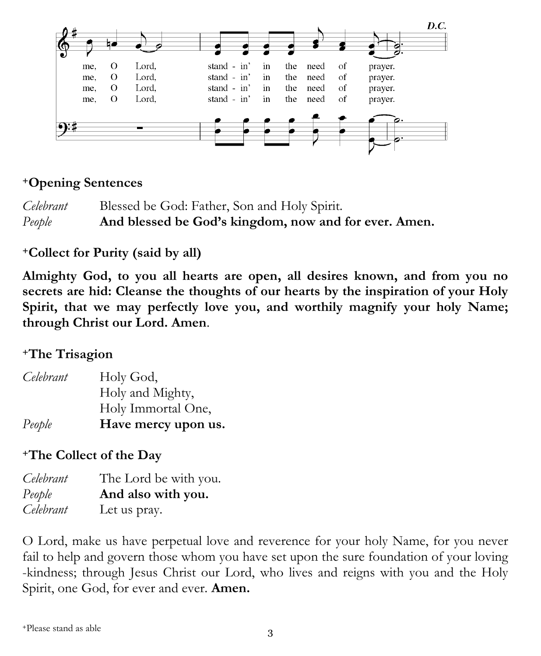

### **<sup>+</sup>Opening Sentences**

*Celebrant* Blessed be God: Father, Son and Holy Spirit. *People* **And blessed be God's kingdom, now and for ever. Amen.** 

# **<sup>+</sup>Collect for Purity (said by all)**

**Almighty God, to you all hearts are open, all desires known, and from you no secrets are hid: Cleanse the thoughts of our hearts by the inspiration of your Holy Spirit, that we may perfectly love you, and worthily magnify your holy Name; through Christ our Lord. Amen**.

# **<sup>+</sup>The Trisagion**

| Celebrant | Holy God,           |
|-----------|---------------------|
|           | Holy and Mighty,    |
|           | Holy Immortal One,  |
| People    | Have mercy upon us. |

# **<sup>+</sup>The Collect of the Day**

| Celebrant | The Lord be with you. |
|-----------|-----------------------|
| People    | And also with you.    |
| Celebrant | Let us pray.          |

O Lord, make us have perpetual love and reverence for your holy Name, for you never fail to help and govern those whom you have set upon the sure foundation of your loving -kindness; through Jesus Christ our Lord, who lives and reigns with you and the Holy Spirit, one God, for ever and ever. **Amen.**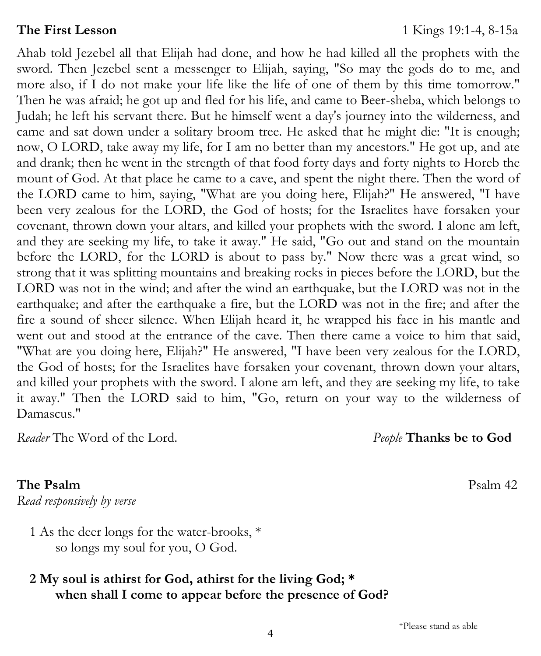Ahab told Jezebel all that Elijah had done, and how he had killed all the prophets with the sword. Then Jezebel sent a messenger to Elijah, saying, "So may the gods do to me, and more also, if I do not make your life like the life of one of them by this time tomorrow." Then he was afraid; he got up and fled for his life, and came to Beer-sheba, which belongs to Judah; he left his servant there. But he himself went a day's journey into the wilderness, and came and sat down under a solitary broom tree. He asked that he might die: "It is enough; now, O LORD, take away my life, for I am no better than my ancestors." He got up, and ate and drank; then he went in the strength of that food forty days and forty nights to Horeb the mount of God. At that place he came to a cave, and spent the night there. Then the word of the LORD came to him, saying, "What are you doing here, Elijah?" He answered, "I have been very zealous for the LORD, the God of hosts; for the Israelites have forsaken your covenant, thrown down your altars, and killed your prophets with the sword. I alone am left, and they are seeking my life, to take it away." He said, "Go out and stand on the mountain before the LORD, for the LORD is about to pass by." Now there was a great wind, so strong that it was splitting mountains and breaking rocks in pieces before the LORD, but the LORD was not in the wind; and after the wind an earthquake, but the LORD was not in the earthquake; and after the earthquake a fire, but the LORD was not in the fire; and after the fire a sound of sheer silence. When Elijah heard it, he wrapped his face in his mantle and went out and stood at the entrance of the cave. Then there came a voice to him that said, "What are you doing here, Elijah?" He answered, "I have been very zealous for the LORD, the God of hosts; for the Israelites have forsaken your covenant, thrown down your altars, and killed your prophets with the sword. I alone am left, and they are seeking my life, to take it away." Then the LORD said to him, "Go, return on your way to the wilderness of Damascus."

*Reader* The Word of the Lord. *People* **Thanks be to God**

**The Psalm Psalm** 42

*Read responsively by verse*

1 As the deer longs for the water-brooks, \* so longs my soul for you, O God.

### **2 My soul is athirst for God, athirst for the living God; \* when shall I come to appear before the presence of God?**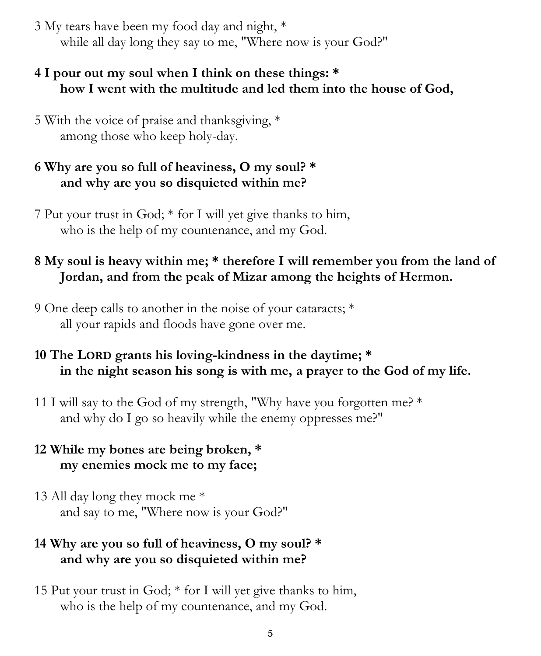3 My tears have been my food day and night, \* while all day long they say to me, "Where now is your God?"

### **4 I pour out my soul when I think on these things: \* how I went with the multitude and led them into the house of God,**

5 With the voice of praise and thanksgiving, \* among those who keep holy-day.

# **6 Why are you so full of heaviness, O my soul? \* and why are you so disquieted within me?**

7 Put your trust in God; \* for I will yet give thanks to him, who is the help of my countenance, and my God.

# **8 My soul is heavy within me; \* therefore I will remember you from the land of Jordan, and from the peak of Mizar among the heights of Hermon.**

9 One deep calls to another in the noise of your cataracts; \* all your rapids and floods have gone over me.

# **10 The LORD grants his loving-kindness in the daytime; \* in the night season his song is with me, a prayer to the God of my life.**

11 I will say to the God of my strength, "Why have you forgotten me? \* and why do I go so heavily while the enemy oppresses me?"

# **12 While my bones are being broken, \* my enemies mock me to my face;**

13 All day long they mock me \* and say to me, "Where now is your God?"

# **14 Why are you so full of heaviness, O my soul? \* and why are you so disquieted within me?**

15 Put your trust in God; \* for I will yet give thanks to him, who is the help of my countenance, and my God.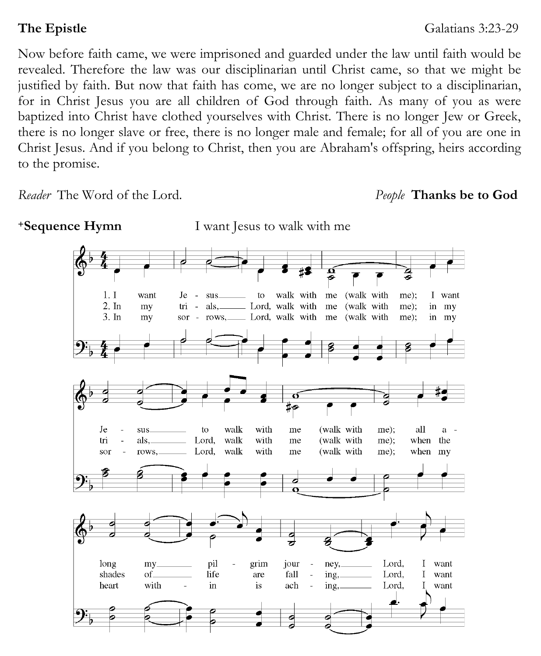Now before faith came, we were imprisoned and guarded under the law until faith would be revealed. Therefore the law was our disciplinarian until Christ came, so that we might be justified by faith. But now that faith has come, we are no longer subject to a disciplinarian, for in Christ Jesus you are all children of God through faith. As many of you as were baptized into Christ have clothed yourselves with Christ. There is no longer Jew or Greek, there is no longer slave or free, there is no longer male and female; for all of you are one in Christ Jesus. And if you belong to Christ, then you are Abraham's offspring, heirs according to the promise.

*Reader* The Word of the Lord. *People* **Thanks be to God**

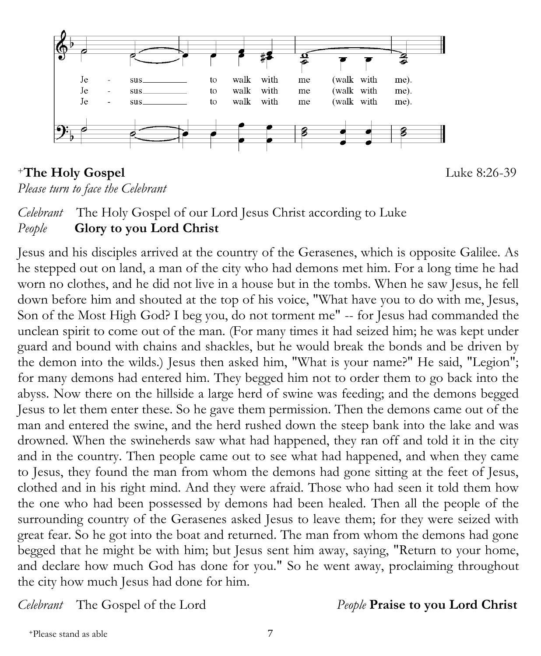

# <sup>+</sup>**The Holy Gospel** Luke 8:26-39

*Please turn to face the Celebrant*

# *Celebrant* The Holy Gospel of our Lord Jesus Christ according to Luke *People* **Glory to you Lord Christ**

Jesus and his disciples arrived at the country of the Gerasenes, which is opposite Galilee. As he stepped out on land, a man of the city who had demons met him. For a long time he had worn no clothes, and he did not live in a house but in the tombs. When he saw Jesus, he fell down before him and shouted at the top of his voice, "What have you to do with me, Jesus, Son of the Most High God? I beg you, do not torment me" -- for Jesus had commanded the unclean spirit to come out of the man. (For many times it had seized him; he was kept under guard and bound with chains and shackles, but he would break the bonds and be driven by the demon into the wilds.) Jesus then asked him, "What is your name?" He said, "Legion"; for many demons had entered him. They begged him not to order them to go back into the abyss. Now there on the hillside a large herd of swine was feeding; and the demons begged Jesus to let them enter these. So he gave them permission. Then the demons came out of the man and entered the swine, and the herd rushed down the steep bank into the lake and was drowned. When the swineherds saw what had happened, they ran off and told it in the city and in the country. Then people came out to see what had happened, and when they came to Jesus, they found the man from whom the demons had gone sitting at the feet of Jesus, clothed and in his right mind. And they were afraid. Those who had seen it told them how the one who had been possessed by demons had been healed. Then all the people of the surrounding country of the Gerasenes asked Jesus to leave them; for they were seized with great fear. So he got into the boat and returned. The man from whom the demons had gone begged that he might be with him; but Jesus sent him away, saying, "Return to your home, and declare how much God has done for you." So he went away, proclaiming throughout the city how much Jesus had done for him.

*Celebrant* The Gospel of the Lord *People* **Praise to you Lord Christ**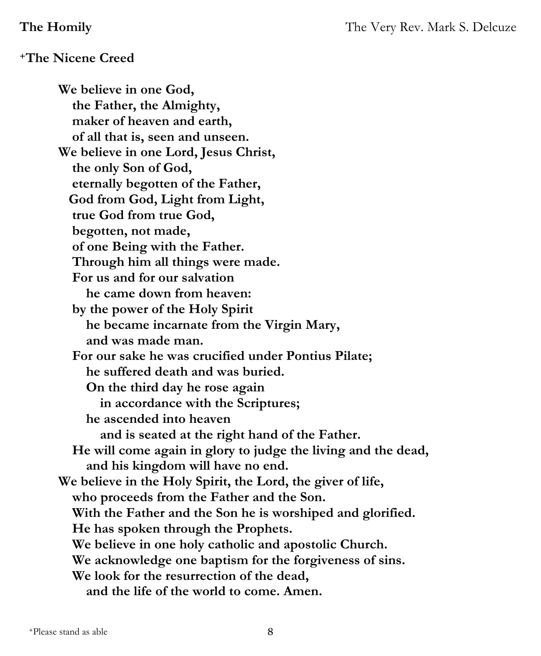#### **<sup>+</sup>The Nicene Creed**

**We believe in one God, the Father, the Almighty, maker of heaven and earth, of all that is, seen and unseen. We believe in one Lord, Jesus Christ, the only Son of God, eternally begotten of the Father, God from God, Light from Light, true God from true God, begotten, not made, of one Being with the Father. Through him all things were made. For us and for our salvation he came down from heaven: by the power of the Holy Spirit he became incarnate from the Virgin Mary, and was made man. For our sake he was crucified under Pontius Pilate; he suffered death and was buried. On the third day he rose again in accordance with the Scriptures; he ascended into heaven and is seated at the right hand of the Father. He will come again in glory to judge the living and the dead, and his kingdom will have no end. We believe in the Holy Spirit, the Lord, the giver of life, who proceeds from the Father and the Son. With the Father and the Son he is worshiped and glorified. He has spoken through the Prophets. We believe in one holy catholic and apostolic Church. We acknowledge one baptism for the forgiveness of sins. We look for the resurrection of the dead, and the life of the world to come. Amen.**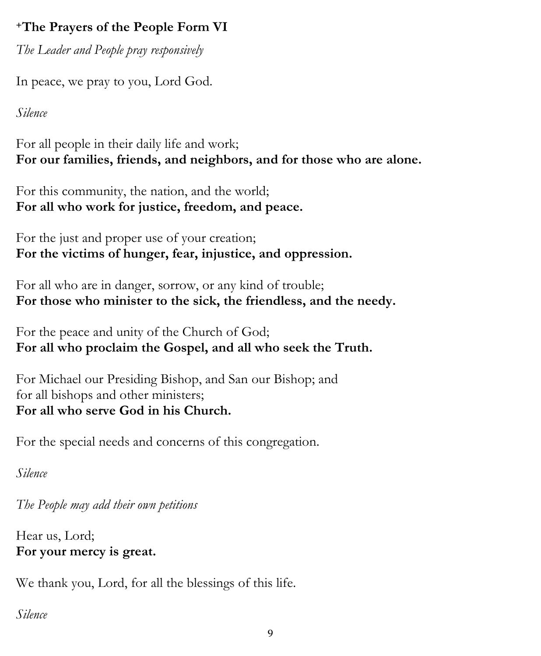# **<sup>+</sup>The Prayers of the People Form VI**

*The Leader and People pray responsively*

In peace, we pray to you, Lord God.

*Silence*

For all people in their daily life and work; **For our families, friends, and neighbors, and for those who are alone.**

For this community, the nation, and the world; **For all who work for justice, freedom, and peace.**

For the just and proper use of your creation; **For the victims of hunger, fear, injustice, and oppression.**

For all who are in danger, sorrow, or any kind of trouble; **For those who minister to the sick, the friendless, and the needy.**

For the peace and unity of the Church of God; **For all who proclaim the Gospel, and all who seek the Truth.**

For Michael our Presiding Bishop, and San our Bishop; and for all bishops and other ministers; **For all who serve God in his Church.**

For the special needs and concerns of this congregation.

*Silence*

*The People may add their own petitions*

Hear us, Lord; **For your mercy is great.**

We thank you, Lord, for all the blessings of this life.

*Silence*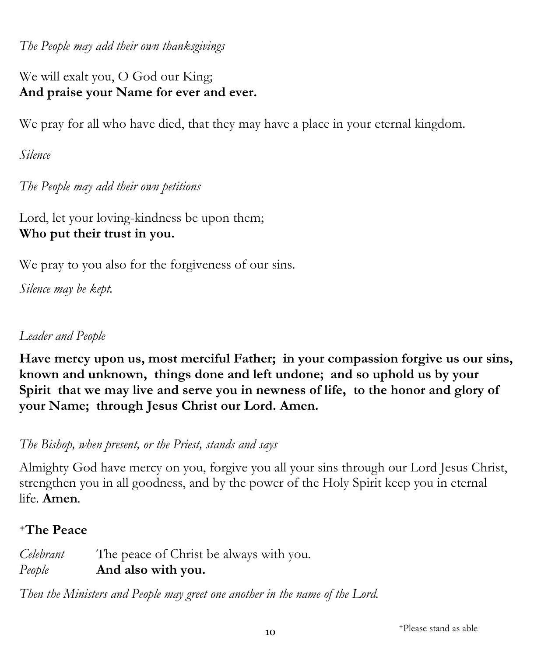*The People may add their own thanksgivings*

We will exalt you, O God our King; **And praise your Name for ever and ever.**

We pray for all who have died, that they may have a place in your eternal kingdom.

*Silence*

*The People may add their own petitions*

Lord, let your loving-kindness be upon them; **Who put their trust in you.**

We pray to you also for the forgiveness of our sins.

*Silence may be kept.*

# *Leader and People*

**Have mercy upon us, most merciful Father; in your compassion forgive us our sins, known and unknown, things done and left undone; and so uphold us by your Spirit that we may live and serve you in newness of life, to the honor and glory of your Name; through Jesus Christ our Lord. Amen.** 

*The Bishop, when present, or the Priest, stands and says*

Almighty God have mercy on you, forgive you all your sins through our Lord Jesus Christ, strengthen you in all goodness, and by the power of the Holy Spirit keep you in eternal life. **Amen***.*

# **<sup>+</sup>The Peace**

| Celebrant | The peace of Christ be always with you. |
|-----------|-----------------------------------------|
| People    | And also with you.                      |

*Then the Ministers and People may greet one another in the name of the Lord.*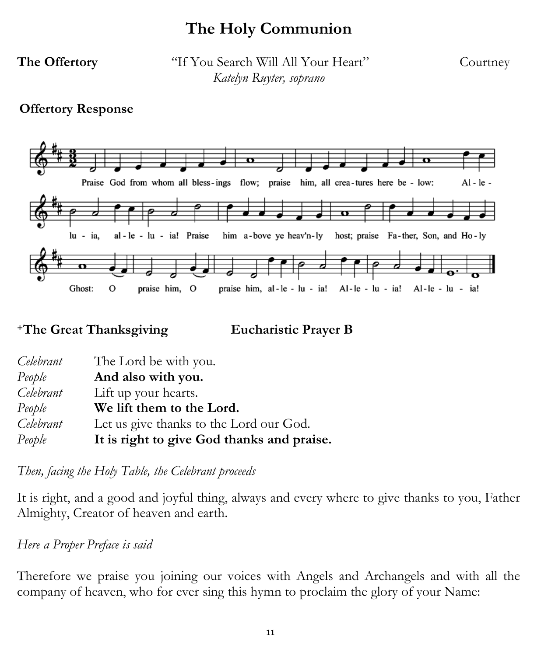# **The Holy Communion**

**The Offertory** "If You Search Will All Your Heart" Courtney *Katelyn Ruyter, soprano* 

#### **Offertory Response**



**<sup>+</sup>The Great Thanksgiving Eucharistic Prayer B** 

| Celebrant | The Lord be with you.                      |
|-----------|--------------------------------------------|
| People    | And also with you.                         |
| Celebrant | Lift up your hearts.                       |
| People    | We lift them to the Lord.                  |
| Celebrant | Let us give thanks to the Lord our God.    |
| People    | It is right to give God thanks and praise. |

*Then, facing the Holy Table, the Celebrant proceeds*

It is right, and a good and joyful thing, always and every where to give thanks to you, Father Almighty, Creator of heaven and earth.

*Here a [Proper Preface](https://www.bcponline.org/HE/pphe1.html) is said* 

Therefore we praise you joining our voices with Angels and Archangels and with all the company of heaven, who for ever sing this hymn to proclaim the glory of your Name: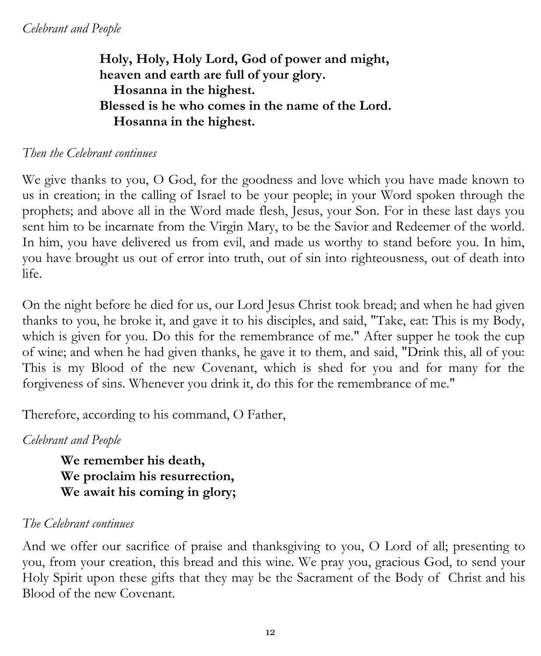# **Holy, Holy, Holy Lord, God of power and might, heaven and earth are full of your glory. Hosanna in the highest. Blessed is he who comes in the name of the Lord. Hosanna in the highest.**

### *Then the Celebrant continues*

We give thanks to you, O God, for the goodness and love which you have made known to us in creation; in the calling of Israel to be your people; in your Word spoken through the prophets; and above all in the Word made flesh, Jesus, your Son. For in these last days you sent him to be incarnate from the Virgin Mary, to be the Savior and Redeemer of the world. In him, you have delivered us from evil, and made us worthy to stand before you. In him, you have brought us out of error into truth, out of sin into righteousness, out of death into life.

On the night before he died for us, our Lord Jesus Christ took bread; and when he had given thanks to you, he broke it, and gave it to his disciples, and said, "Take, eat: This is my Body, which is given for you. Do this for the remembrance of me." After supper he took the cup of wine; and when he had given thanks, he gave it to them, and said, "Drink this, all of you: This is my Blood of the new Covenant, which is shed for you and for many for the forgiveness of sins. Whenever you drink it, do this for the remembrance of me."

Therefore, according to his command, O Father,

### *Celebrant and People*

**We remember his death, We proclaim his resurrection, We await his coming in glory;** 

### *The Celebrant continues*

And we offer our sacrifice of praise and thanksgiving to you, O Lord of all; presenting to you, from your creation, this bread and this wine. We pray you, gracious God, to send your Holy Spirit upon these gifts that they may be the Sacrament of the Body of Christ and his Blood of the new Covenant.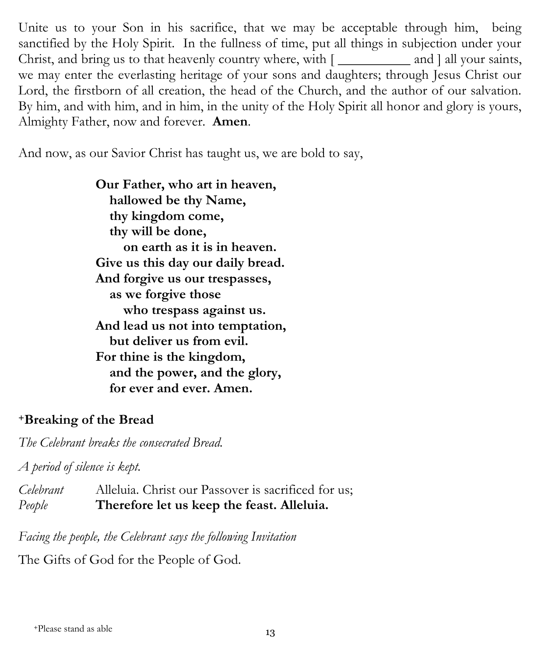Unite us to your Son in his sacrifice, that we may be acceptable through him, being sanctified by the Holy Spirit. In the fullness of time, put all things in subjection under your Christ, and bring us to that heavenly country where, with  $\lceil \frac{1}{\lceil \frac{1}{n \rceil}} \rceil$  and  $\lceil \frac{1}{n \rceil} \rceil$  and  $\lceil \frac{1}{n \rceil} \rceil$ we may enter the everlasting heritage of your sons and daughters; through Jesus Christ our Lord, the firstborn of all creation, the head of the Church, and the author of our salvation. By him, and with him, and in him, in the unity of the Holy Spirit all honor and glory is yours, Almighty Father, now and forever. **Amen**.

And now, as our Savior Christ has taught us, we are bold to say,

**Our Father, who art in heaven, hallowed be thy Name, thy kingdom come, thy will be done, on earth as it is in heaven. Give us this day our daily bread. And forgive us our trespasses, as we forgive those who trespass against us. And lead us not into temptation, but deliver us from evil. For thine is the kingdom, and the power, and the glory, for ever and ever. Amen.** 

#### **<sup>+</sup>Breaking of the Bread**

*The Celebrant breaks the consecrated Bread.* 

*A period of silence is kept.*

*Celebrant* Alleluia. Christ our Passover is sacrificed for us; *People* **Therefore let us keep the feast. Alleluia.**

*Facing the people, the Celebrant says the following Invitation*

The Gifts of God for the People of God.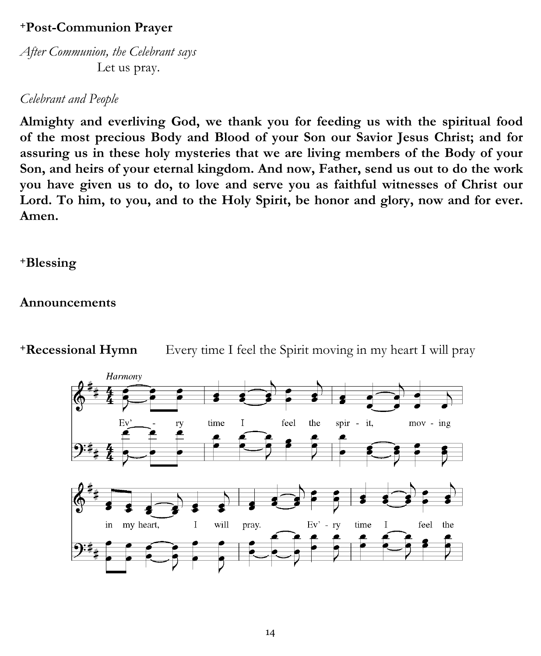# **<sup>+</sup>Post-Communion Prayer**

*After Communion, the Celebrant says* Let us pray.

#### *Celebrant and People*

**Almighty and everliving God, we thank you for feeding us with the spiritual food of the most precious Body and Blood of your Son our Savior Jesus Christ; and for assuring us in these holy mysteries that we are living members of the Body of your Son, and heirs of your eternal kingdom. And now, Father, send us out to do the work you have given us to do, to love and serve you as faithful witnesses of Christ our Lord. To him, to you, and to the Holy Spirit, be honor and glory, now and for ever. Amen.** 

#### **<sup>+</sup>Blessing**

#### **Announcements**



**+Recessional Hymn** Every time I feel the Spirit moving in my heart I will pray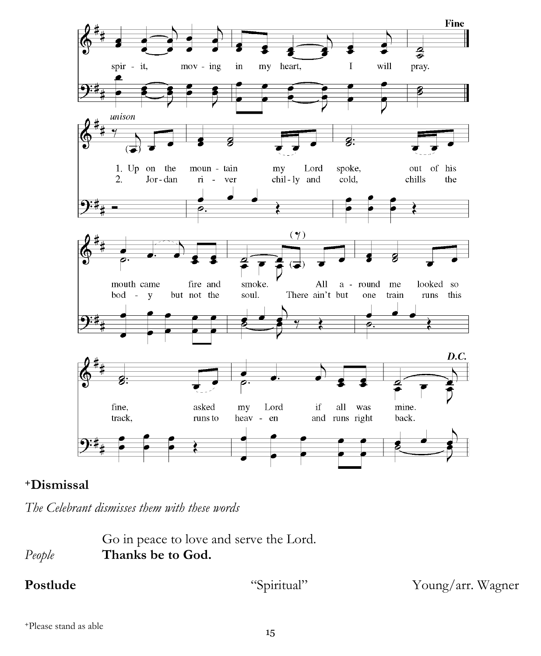

### **<sup>+</sup>Dismissal**

*The Celebrant dismisses them with these words*

Go in peace to love and serve the Lord. *People* **Thanks be to God.** 

Postlude "Spiritual" Young/arr. Wagner